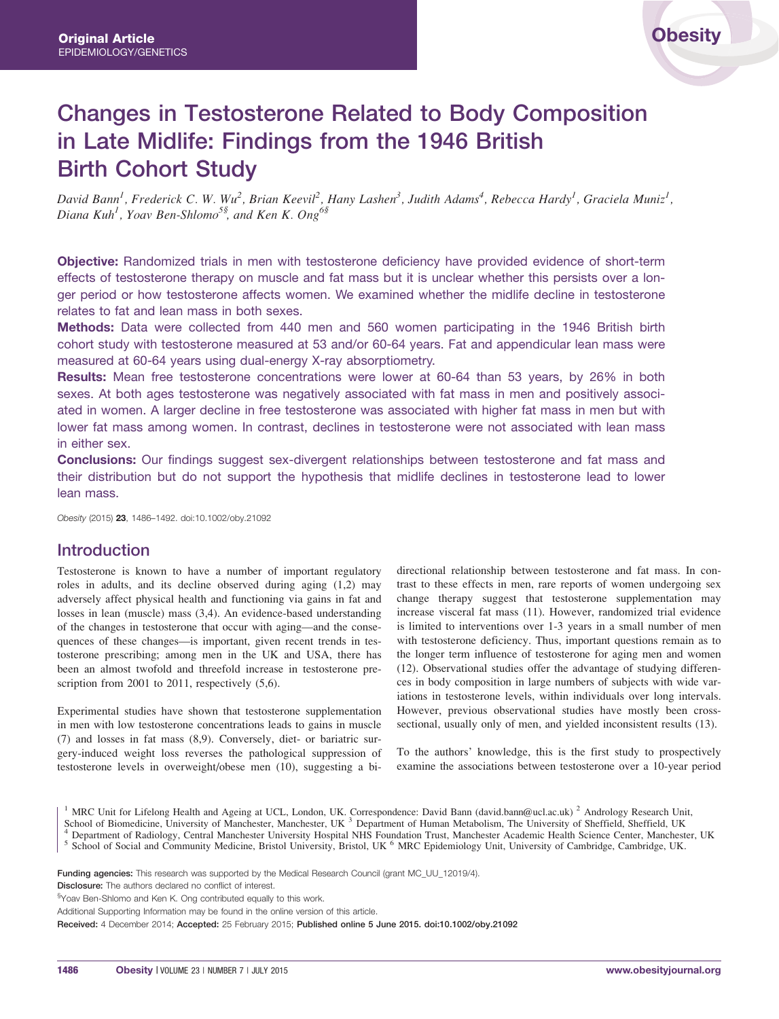# Changes in Testosterone Related to Body Composition in Late Midlife: Findings from the 1946 British Birth Cohort Study

David Bann<sup>1</sup>, Frederick C. W. Wu<sup>2</sup>, Brian Keevil<sup>2</sup>, Hany Lashen<sup>3</sup>, Judith Adams<sup>4</sup>, Rebecca Hardy<sup>1</sup>, Graciela Muniz<sup>1</sup>, Diana Kuh<sup>1</sup>, Yoav Ben-Shlomo<sup>5§</sup>, and Ken K. Ong<sup>6§</sup>

Objective: Randomized trials in men with testosterone deficiency have provided evidence of short-term effects of testosterone therapy on muscle and fat mass but it is unclear whether this persists over a longer period or how testosterone affects women. We examined whether the midlife decline in testosterone relates to fat and lean mass in both sexes.

Methods: Data were collected from 440 men and 560 women participating in the 1946 British birth cohort study with testosterone measured at 53 and/or 60-64 years. Fat and appendicular lean mass were measured at 60-64 years using dual-energy X-ray absorptiometry.

Results: Mean free testosterone concentrations were lower at 60-64 than 53 years, by 26% in both sexes. At both ages testosterone was negatively associated with fat mass in men and positively associated in women. A larger decline in free testosterone was associated with higher fat mass in men but with lower fat mass among women. In contrast, declines in testosterone were not associated with lean mass in either sex.

**Conclusions:** Our findings suggest sex-divergent relationships between testosterone and fat mass and their distribution but do not support the hypothesis that midlife declines in testosterone lead to lower lean mass.

Obesity (2015) 23, 1486–1492. doi:10.1002/oby.21092

## Introduction

Testosterone is known to have a number of important regulatory roles in adults, and its decline observed during aging (1,2) may adversely affect physical health and functioning via gains in fat and losses in lean (muscle) mass (3,4). An evidence-based understanding of the changes in testosterone that occur with aging—and the consequences of these changes—is important, given recent trends in testosterone prescribing; among men in the UK and USA, there has been an almost twofold and threefold increase in testosterone prescription from 2001 to 2011, respectively  $(5,6)$ .

Experimental studies have shown that testosterone supplementation in men with low testosterone concentrations leads to gains in muscle (7) and losses in fat mass (8,9). Conversely, diet- or bariatric surgery-induced weight loss reverses the pathological suppression of testosterone levels in overweight/obese men (10), suggesting a bidirectional relationship between testosterone and fat mass. In contrast to these effects in men, rare reports of women undergoing sex change therapy suggest that testosterone supplementation may increase visceral fat mass (11). However, randomized trial evidence is limited to interventions over 1-3 years in a small number of men with testosterone deficiency. Thus, important questions remain as to the longer term influence of testosterone for aging men and women (12). Observational studies offer the advantage of studying differences in body composition in large numbers of subjects with wide variations in testosterone levels, within individuals over long intervals. However, previous observational studies have mostly been crosssectional, usually only of men, and yielded inconsistent results (13).

To the authors' knowledge, this is the first study to prospectively examine the associations between testosterone over a 10-year period

<sup>&</sup>lt;sup>1</sup> MRC Unit for Lifelong Health and Ageing at UCL, London, UK. Correspondence: David Bann (david.bann@ucl.ac.uk) <sup>2</sup> Andrology Research Unit,

School of Biomedicine, University of Manchester, Manchester, UK<sup>3</sup> Department of Human Metabolism, The University of Sheffield, Sheffield, UK<sup>4</sup> Department of Radiology, Central Manchester University Hospital NHS Foundati

Funding agencies: This research was supported by the Medical Research Council (grant MC\_UU\_12019/4).

Disclosure: The authors declared no conflict of interest.

<sup>§</sup>Yoav Ben-Shlomo and Ken K. Ong contributed equally to this work.

Additional Supporting Information may be found in the online version of this article.

Received: 4 December 2014; Accepted: 25 February 2015; Published online 5 June 2015. doi:10.1002/oby.21092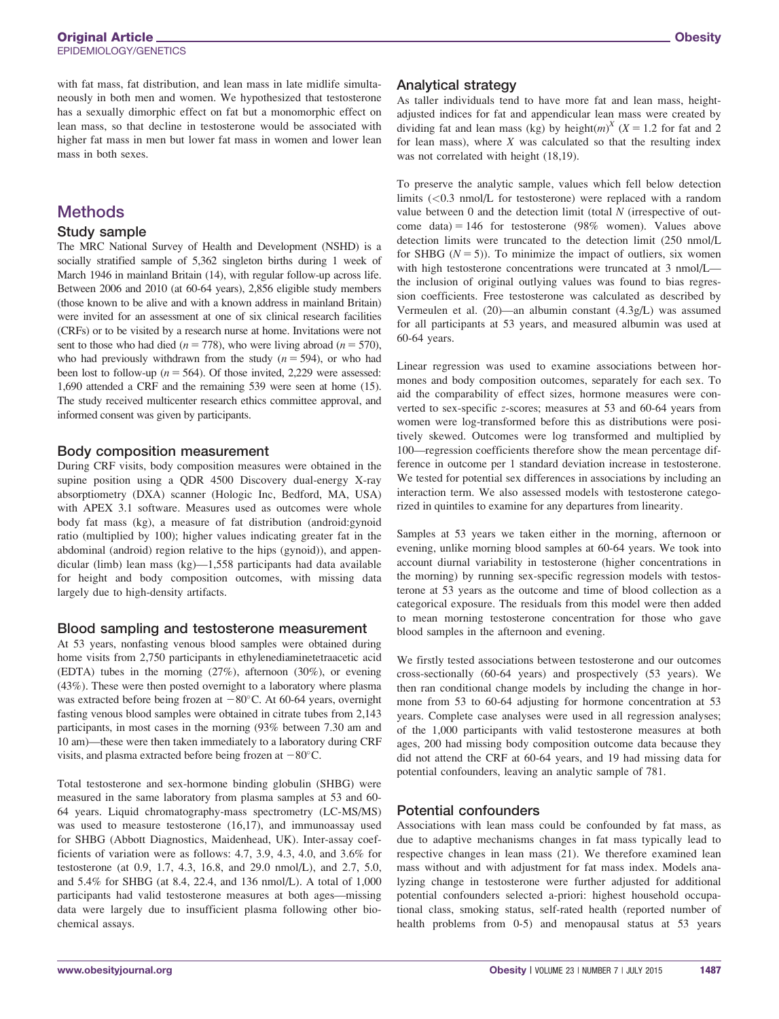with fat mass, fat distribution, and lean mass in late midlife simultaneously in both men and women. We hypothesized that testosterone has a sexually dimorphic effect on fat but a monomorphic effect on lean mass, so that decline in testosterone would be associated with higher fat mass in men but lower fat mass in women and lower lean mass in both sexes.

# **Methods**

## Study sample

The MRC National Survey of Health and Development (NSHD) is a socially stratified sample of 5,362 singleton births during 1 week of March 1946 in mainland Britain (14), with regular follow-up across life. Between 2006 and 2010 (at 60-64 years), 2,856 eligible study members (those known to be alive and with a known address in mainland Britain) were invited for an assessment at one of six clinical research facilities (CRFs) or to be visited by a research nurse at home. Invitations were not sent to those who had died ( $n = 778$ ), who were living abroad ( $n = 570$ ), who had previously withdrawn from the study  $(n = 594)$ , or who had been lost to follow-up ( $n = 564$ ). Of those invited, 2,229 were assessed: 1,690 attended a CRF and the remaining 539 were seen at home (15). The study received multicenter research ethics committee approval, and informed consent was given by participants.

## Body composition measurement

During CRF visits, body composition measures were obtained in the supine position using a QDR 4500 Discovery dual-energy X-ray absorptiometry (DXA) scanner (Hologic Inc, Bedford, MA, USA) with APEX 3.1 software. Measures used as outcomes were whole body fat mass (kg), a measure of fat distribution (android:gynoid ratio (multiplied by 100); higher values indicating greater fat in the abdominal (android) region relative to the hips (gynoid)), and appendicular (limb) lean mass (kg)—1,558 participants had data available for height and body composition outcomes, with missing data largely due to high-density artifacts.

## Blood sampling and testosterone measurement

At 53 years, nonfasting venous blood samples were obtained during home visits from 2,750 participants in ethylenediaminetetraacetic acid (EDTA) tubes in the morning (27%), afternoon (30%), or evening (43%). These were then posted overnight to a laboratory where plasma was extracted before being frozen at  $-80^{\circ}$ C. At 60-64 years, overnight fasting venous blood samples were obtained in citrate tubes from 2,143 participants, in most cases in the morning (93% between 7.30 am and 10 am)—these were then taken immediately to a laboratory during CRF visits, and plasma extracted before being frozen at  $-80^{\circ}$ C.

Total testosterone and sex-hormone binding globulin (SHBG) were measured in the same laboratory from plasma samples at 53 and 60- 64 years. Liquid chromatography-mass spectrometry (LC-MS/MS) was used to measure testosterone (16,17), and immunoassay used for SHBG (Abbott Diagnostics, Maidenhead, UK). Inter-assay coefficients of variation were as follows: 4.7, 3.9, 4.3, 4.0, and 3.6% for testosterone (at 0.9, 1.7, 4.3, 16.8, and 29.0 nmol/L), and 2.7, 5.0, and 5.4% for SHBG (at 8.4, 22.4, and 136 nmol/L). A total of 1,000 participants had valid testosterone measures at both ages—missing data were largely due to insufficient plasma following other biochemical assays.

## Analytical strategy

As taller individuals tend to have more fat and lean mass, heightadjusted indices for fat and appendicular lean mass were created by dividing fat and lean mass (kg) by height(*m*)<sup>*X*</sup> (*X* = 1.2 for fat and 2 for lean mass), where  $X$  was calculated so that the resulting index was not correlated with height (18,19).

To preserve the analytic sample, values which fell below detection limits (<0.3 nmol/L for testosterone) were replaced with a random value between  $0$  and the detection limit (total  $N$  (irrespective of outcome data) = 146 for testosterone (98% women). Values above detection limits were truncated to the detection limit (250 nmol/L for SHBG  $(N = 5)$ ). To minimize the impact of outliers, six women with high testosterone concentrations were truncated at 3 nmol/L the inclusion of original outlying values was found to bias regression coefficients. Free testosterone was calculated as described by Vermeulen et al. (20)—an albumin constant (4.3g/L) was assumed for all participants at 53 years, and measured albumin was used at 60-64 years.

Linear regression was used to examine associations between hormones and body composition outcomes, separately for each sex. To aid the comparability of effect sizes, hormone measures were converted to sex-specific z-scores; measures at 53 and 60-64 years from women were log-transformed before this as distributions were positively skewed. Outcomes were log transformed and multiplied by 100—regression coefficients therefore show the mean percentage difference in outcome per 1 standard deviation increase in testosterone. We tested for potential sex differences in associations by including an interaction term. We also assessed models with testosterone categorized in quintiles to examine for any departures from linearity.

Samples at 53 years we taken either in the morning, afternoon or evening, unlike morning blood samples at 60-64 years. We took into account diurnal variability in testosterone (higher concentrations in the morning) by running sex-specific regression models with testosterone at 53 years as the outcome and time of blood collection as a categorical exposure. The residuals from this model were then added to mean morning testosterone concentration for those who gave blood samples in the afternoon and evening.

We firstly tested associations between testosterone and our outcomes cross-sectionally (60-64 years) and prospectively (53 years). We then ran conditional change models by including the change in hormone from 53 to 60-64 adjusting for hormone concentration at 53 years. Complete case analyses were used in all regression analyses; of the 1,000 participants with valid testosterone measures at both ages, 200 had missing body composition outcome data because they did not attend the CRF at 60-64 years, and 19 had missing data for potential confounders, leaving an analytic sample of 781.

## Potential confounders

Associations with lean mass could be confounded by fat mass, as due to adaptive mechanisms changes in fat mass typically lead to respective changes in lean mass (21). We therefore examined lean mass without and with adjustment for fat mass index. Models analyzing change in testosterone were further adjusted for additional potential confounders selected a-priori: highest household occupational class, smoking status, self-rated health (reported number of health problems from 0-5) and menopausal status at 53 years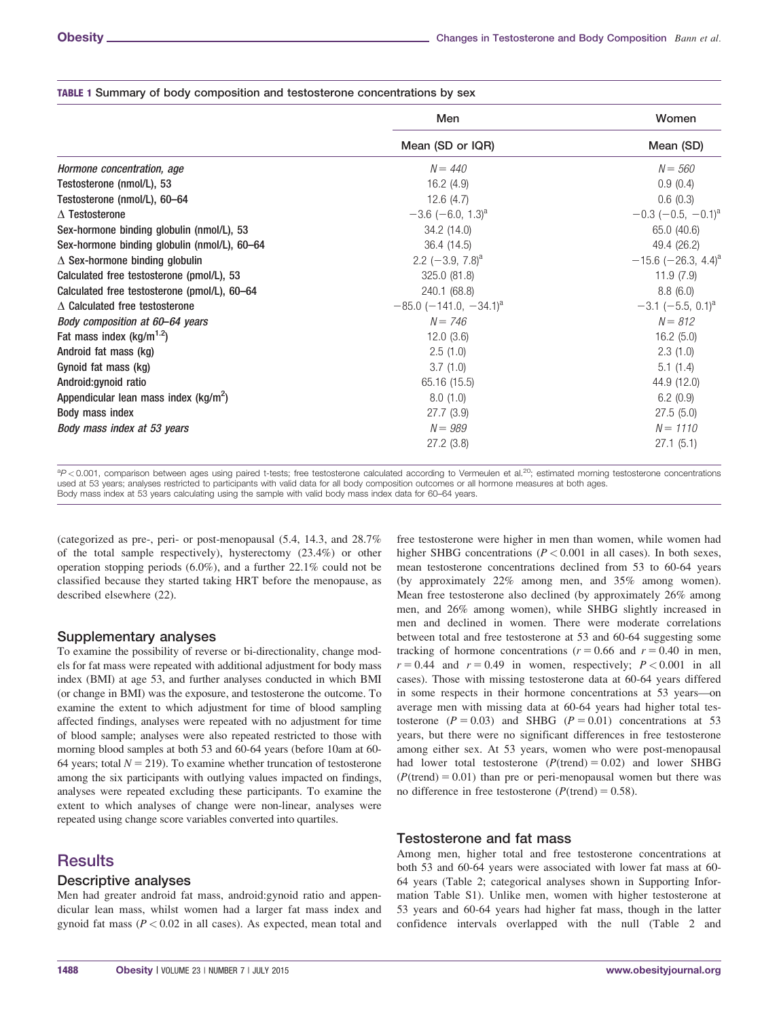|                                              | Men                                  | Women<br>Mean (SD)                |  |
|----------------------------------------------|--------------------------------------|-----------------------------------|--|
|                                              |                                      |                                   |  |
|                                              | Mean (SD or IQR)                     |                                   |  |
| Hormone concentration, age                   | $N = 440$                            | $N = 560$                         |  |
| Testosterone (nmol/L), 53                    | 16.2(4.9)                            | 0.9(0.4)                          |  |
| Testosterone (nmol/L), 60-64                 | 12.6(4.7)                            | 0.6(0.3)                          |  |
| $\Lambda$ Testosterone                       | $-3.6$ (-6.0, 1.3) <sup>a</sup>      | $-0.3$ (-0.5, -0.1) <sup>a</sup>  |  |
| Sex-hormone binding globulin (nmol/L), 53    | 34.2 (14.0)                          | 65.0 (40.6)                       |  |
| Sex-hormone binding globulin (nmol/L), 60-64 | 36.4 (14.5)                          | 49.4 (26.2)                       |  |
| $\triangle$ Sex-hormone binding globulin     | 2.2 $(-3.9, 7.8)^a$                  | $-15.6$ (-26.3, 4.4) <sup>a</sup> |  |
| Calculated free testosterone (pmol/L), 53    | 325.0 (81.8)                         | 11.9(7.9)                         |  |
| Calculated free testosterone (pmol/L), 60-64 | 240.1 (68.8)                         | 8.8(6.0)                          |  |
| $\triangle$ Calculated free testosterone     | $-85.0$ (-141.0, -34.1) <sup>a</sup> | $-3.1$ (-5.5, 0.1) <sup>a</sup>   |  |
| Body composition at 60–64 years              | $N = 746$                            | $N = 812$                         |  |
| Fat mass index $(kg/m^{1.2})$                | 12.0(3.6)                            | 16.2(5.0)                         |  |
| Android fat mass (kg)                        | 2.5(1.0)                             | 2.3(1.0)                          |  |
| Gynoid fat mass (kg)                         | 3.7(1.0)                             | 5.1(1.4)                          |  |
| Android: gynoid ratio                        | 65.16 (15.5)                         | 44.9 (12.0)                       |  |
| Appendicular lean mass index $(kg/m^2)$      | 8.0(1.0)                             | 6.2(0.9)                          |  |
| Body mass index                              | 27.7 (3.9)                           | 27.5(5.0)                         |  |
| Body mass index at 53 years                  | $N = 989$                            | $N = 1110$                        |  |
|                                              | 27.2(3.8)                            | 27.1(5.1)                         |  |

#### TABLE 1 Summary of body composition and testosterone concentrations by sex

 ${}^{a}P$  < 0.001, comparison between ages using paired t-tests; free testosterone calculated according to Vermeulen et al.<sup>20</sup>; estimated morning testosterone concentrations used at 53 years; analyses restricted to participants with valid data for all body composition outcomes or all hormone measures at both ages. Body mass index at 53 years calculating using the sample with valid body mass index data for 60–64 years.

(categorized as pre-, peri- or post-menopausal (5.4, 14.3, and 28.7% of the total sample respectively), hysterectomy (23.4%) or other operation stopping periods (6.0%), and a further 22.1% could not be classified because they started taking HRT before the menopause, as described elsewhere (22).

### Supplementary analyses

To examine the possibility of reverse or bi-directionality, change models for fat mass were repeated with additional adjustment for body mass index (BMI) at age 53, and further analyses conducted in which BMI (or change in BMI) was the exposure, and testosterone the outcome. To examine the extent to which adjustment for time of blood sampling affected findings, analyses were repeated with no adjustment for time of blood sample; analyses were also repeated restricted to those with morning blood samples at both 53 and 60-64 years (before 10am at 60- 64 years; total  $N = 219$ ). To examine whether truncation of testosterone among the six participants with outlying values impacted on findings, analyses were repeated excluding these participants. To examine the extent to which analyses of change were non-linear, analyses were repeated using change score variables converted into quartiles.

## **Results**

## Descriptive analyses

Men had greater android fat mass, android:gynoid ratio and appendicular lean mass, whilst women had a larger fat mass index and gynoid fat mass  $(P < 0.02$  in all cases). As expected, mean total and

free testosterone were higher in men than women, while women had higher SHBG concentrations ( $P < 0.001$  in all cases). In both sexes, mean testosterone concentrations declined from 53 to 60-64 years (by approximately 22% among men, and 35% among women). Mean free testosterone also declined (by approximately 26% among men, and 26% among women), while SHBG slightly increased in men and declined in women. There were moderate correlations between total and free testosterone at 53 and 60-64 suggesting some tracking of hormone concentrations ( $r = 0.66$  and  $r = 0.40$  in men,  $r = 0.44$  and  $r = 0.49$  in women, respectively;  $P < 0.001$  in all cases). Those with missing testosterone data at 60-64 years differed in some respects in their hormone concentrations at 53 years—on average men with missing data at 60-64 years had higher total testosterone ( $P = 0.03$ ) and SHBG ( $P = 0.01$ ) concentrations at 53 years, but there were no significant differences in free testosterone among either sex. At 53 years, women who were post-menopausal had lower total testosterone  $(P(\text{trend}) = 0.02)$  and lower SHBG  $(P(\text{trend}) = 0.01)$  than pre or peri-menopausal women but there was no difference in free testosterone ( $P(\text{trend}) = 0.58$ ).

### Testosterone and fat mass

Among men, higher total and free testosterone concentrations at both 53 and 60-64 years were associated with lower fat mass at 60- 64 years (Table 2; categorical analyses shown in Supporting Information Table S1). Unlike men, women with higher testosterone at 53 years and 60-64 years had higher fat mass, though in the latter confidence intervals overlapped with the null (Table 2 and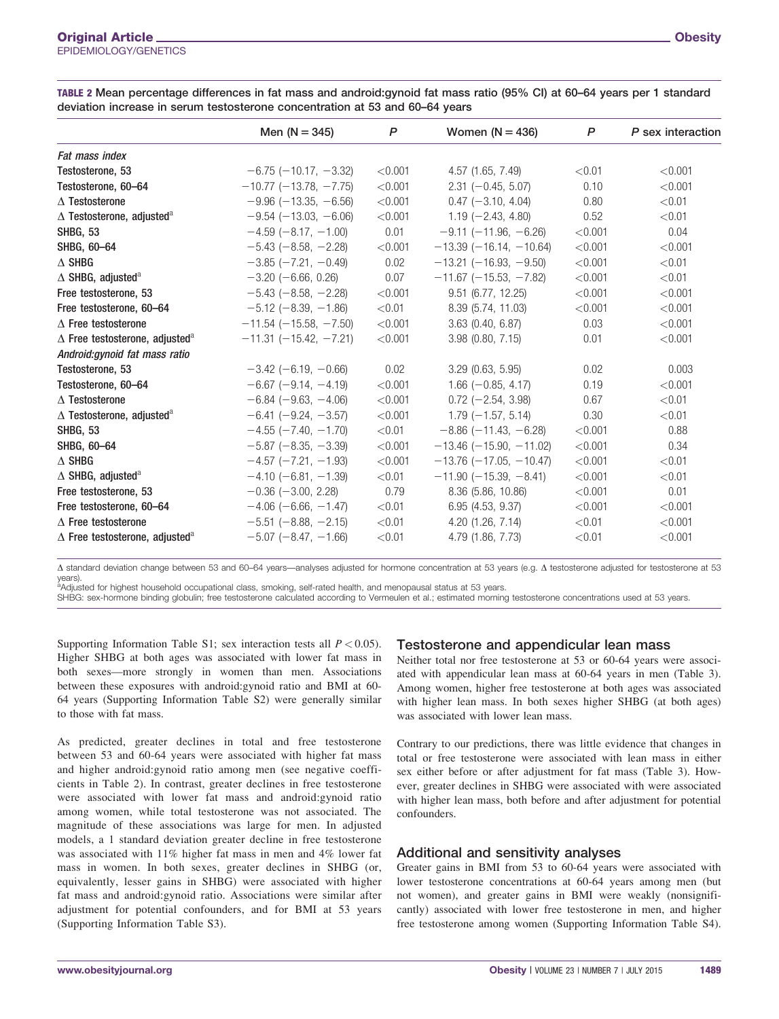|                                                 | Men $(N = 345)$                 | P       | Women $(N = 436)$                | P       | P sex interaction |
|-------------------------------------------------|---------------------------------|---------|----------------------------------|---------|-------------------|
| Fat mass index                                  |                                 |         |                                  |         |                   |
| Testosterone, 53                                | $-6.75$ ( $-10.17$ , $-3.32$ )  | < 0.001 | 4.57 (1.65, 7.49)                | < 0.01  | < 0.001           |
| Testosterone, 60-64                             | $-10.77$ ( $-13.78$ , $-7.75$ ) | < 0.001 | $2.31 (-0.45, 5.07)$             | 0.10    | < 0.001           |
| $\Delta$ Testosterone                           | $-9.96$ ( $-13.35$ , $-6.56$ )  | < 0.001 | $0.47$ (-3.10, 4.04)             | 0.80    | < 0.01            |
| $\Delta$ Testosterone, adjusted $^{\rm a}$      | $-9.54$ ( $-13.03$ , $-6.06$ )  | < 0.001 | $1.19$ (-2.43, 4.80)             | 0.52    | < 0.01            |
| SHBG, 53                                        | $-4.59(-8.17, -1.00)$           | 0.01    | $-9.11$ ( $-11.96$ , $-6.26$ )   | < 0.001 | 0.04              |
| SHBG, 60-64                                     | $-5.43$ ( $-8.58$ , $-2.28$ )   | < 0.001 | $-13.39$ (-16.14, -10.64)        | < 0.001 | < 0.001           |
| $\Delta$ shbg                                   | $-3.85$ ( $-7.21$ , $-0.49$ )   | 0.02    | $-13.21$ ( $-16.93$ , $-9.50$ )  | < 0.001 | < 0.01            |
| $\Delta$ SHBG, adjusted <sup>a</sup>            | $-3.20$ ( $-6.66$ , 0.26)       | 0.07    | $-11.67$ (-15.53, -7.82)         | < 0.001 | < 0.01            |
| Free testosterone, 53                           | $-5.43$ ( $-8.58$ , $-2.28$ )   | < 0.001 | $9.51$ (6.77, 12.25)             | < 0.001 | < 0.001           |
| Free testosterone, 60-64                        | $-5.12$ ( $-8.39$ , $-1.86$ )   | < 0.01  | 8.39 (5.74, 11.03)               | < 0.001 | < 0.001           |
| $\Delta$ Free testosterone                      | $-11.54$ ( $-15.58$ , $-7.50$ ) | < 0.001 | $3.63$ (0.40, 6.87)              | 0.03    | < 0.001           |
| $\Delta$ Free testosterone, adjusted $^{\rm a}$ | $-11.31$ ( $-15.42$ , $-7.21$ ) | < 0.001 | $3.98$ (0.80, 7.15)              | 0.01    | < 0.001           |
| Android:gynoid fat mass ratio                   |                                 |         |                                  |         |                   |
| Testosterone, 53                                | $-3.42$ (-6.19, -0.66)          | 0.02    | $3.29$ (0.63, 5.95)              | 0.02    | 0.003             |
| Testosterone, 60-64                             | $-6.67$ ( $-9.14$ , $-4.19$ )   | < 0.001 | $1.66 (-0.85, 4.17)$             | 0.19    | < 0.001           |
| $\Delta$ Testosterone                           | $-6.84 (-9.63, -4.06)$          | < 0.001 | $0.72$ (-2.54, 3.98)             | 0.67    | < 0.01            |
| $\Delta$ Testosterone, adjusted $^{\rm a}$      | $-6.41$ ( $-9.24$ , $-3.57$ )   | < 0.001 | $1.79(-1.57, 5.14)$              | 0.30    | < 0.01            |
| SHBG, 53                                        | $-4.55$ ( $-7.40$ , $-1.70$ )   | < 0.01  | $-8.86$ ( $-11.43$ , $-6.28$ )   | < 0.001 | 0.88              |
| SHBG, 60-64                                     | $-5.87$ ( $-8.35$ , $-3.39$ )   | < 0.001 | $-13.46$ ( $-15.90$ , $-11.02$ ) | < 0.001 | 0.34              |
| $\Delta$ shbg                                   | $-4.57$ ( $-7.21$ , $-1.93$ )   | < 0.001 | $-13.76$ ( $-17.05$ , $-10.47$ ) | < 0.001 | < 0.01            |
| $\Delta$ SHBG, adjusted <sup>a</sup>            | $-4.10$ (-6.81, -1.39)          | < 0.01  | $-11.90$ (-15.39, -8.41)         | < 0.001 | < 0.01            |
| Free testosterone, 53                           | $-0.36$ ( $-3.00$ , 2.28)       | 0.79    | 8.36 (5.86, 10.86)               | < 0.001 | 0.01              |
| Free testosterone, 60–64                        | $-4.06$ (-6.66, -1.47)          | < 0.01  | 6.95(4.53, 9.37)                 | < 0.001 | < 0.001           |
| $\Delta$ Free testosterone                      | $-5.51$ ( $-8.88$ , $-2.15$ )   | < 0.01  | 4.20 (1.26, 7.14)                | < 0.01  | < 0.001           |
| $\Delta$ Free testosterone, adjusted $^{\rm a}$ | $-5.07$ ( $-8.47$ , $-1.66$ )   | < 0.01  | 4.79 (1.86, 7.73)                | < 0.01  | < 0.001           |

TABLE 2 Mean percentage differences in fat mass and android:gynoid fat mass ratio (95% CI) at 60–64 years per 1 standard deviation increase in serum testosterone concentration at 53 and 60–64 years

D standard deviation change between 53 and 60–64 years—analyses adjusted for hormone concentration at 53 years (e.g. D testosterone adjusted for testosterone at 53

years).<br><sup>a</sup>Adjusted for highest household occupational class, smoking, self-rated health, and menopausal status at 53 years.

SHBG: sex-hormone binding globulin; free testosterone calculated according to Vermeulen et al.; estimated morning testosterone concentrations used at 53 years.

Supporting Information Table S1; sex interaction tests all  $P < 0.05$ ). Higher SHBG at both ages was associated with lower fat mass in both sexes—more strongly in women than men. Associations between these exposures with android:gynoid ratio and BMI at 60- 64 years (Supporting Information Table S2) were generally similar to those with fat mass.

As predicted, greater declines in total and free testosterone between 53 and 60-64 years were associated with higher fat mass and higher android:gynoid ratio among men (see negative coefficients in Table 2). In contrast, greater declines in free testosterone were associated with lower fat mass and android:gynoid ratio among women, while total testosterone was not associated. The magnitude of these associations was large for men. In adjusted models, a 1 standard deviation greater decline in free testosterone was associated with 11% higher fat mass in men and 4% lower fat mass in women. In both sexes, greater declines in SHBG (or, equivalently, lesser gains in SHBG) were associated with higher fat mass and android:gynoid ratio. Associations were similar after adjustment for potential confounders, and for BMI at 53 years (Supporting Information Table S3).

### Testosterone and appendicular lean mass

Neither total nor free testosterone at 53 or 60-64 years were associated with appendicular lean mass at 60-64 years in men (Table 3). Among women, higher free testosterone at both ages was associated with higher lean mass. In both sexes higher SHBG (at both ages) was associated with lower lean mass.

Contrary to our predictions, there was little evidence that changes in total or free testosterone were associated with lean mass in either sex either before or after adjustment for fat mass (Table 3). However, greater declines in SHBG were associated with were associated with higher lean mass, both before and after adjustment for potential confounders.

### Additional and sensitivity analyses

Greater gains in BMI from 53 to 60-64 years were associated with lower testosterone concentrations at 60-64 years among men (but not women), and greater gains in BMI were weakly (nonsignificantly) associated with lower free testosterone in men, and higher free testosterone among women (Supporting Information Table S4).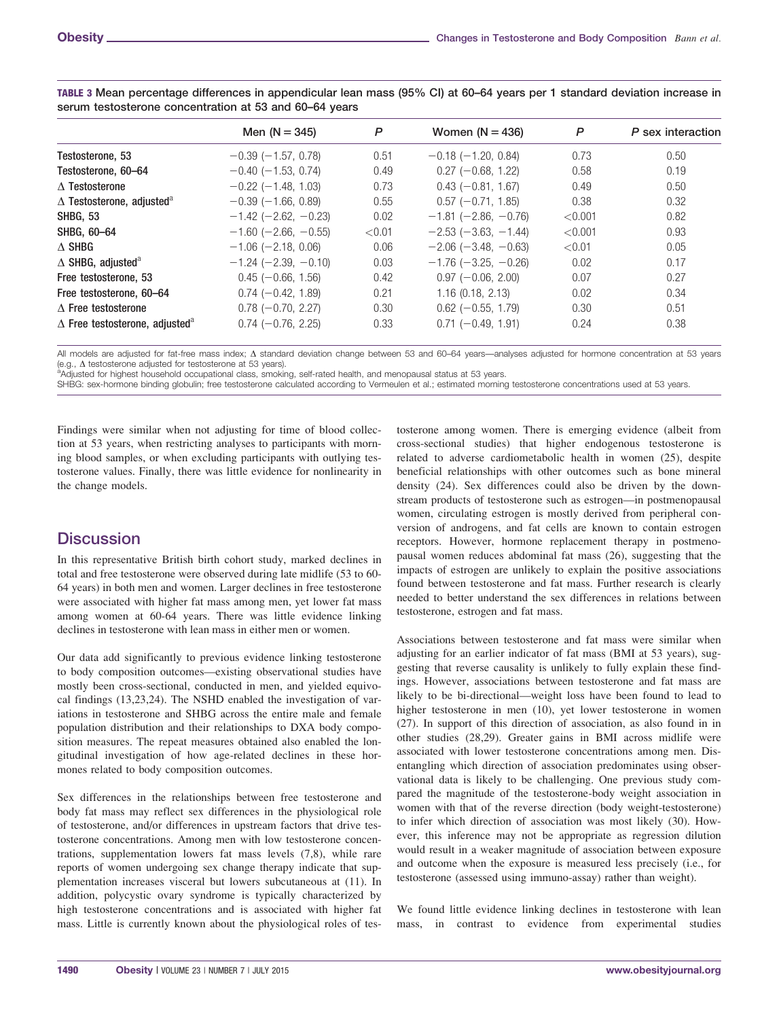|                                                   | Men $(N = 345)$               | P      | Women $(N = 436)$             | P       | P sex interaction |
|---------------------------------------------------|-------------------------------|--------|-------------------------------|---------|-------------------|
| Testosterone, 53                                  | $-0.39$ ( $-1.57$ , 0.78)     | 0.51   | $-0.18$ ( $-1.20$ , 0.84)     | 0.73    | 0.50              |
| Testosterone, 60-64                               | $-0.40$ ( $-1.53$ , 0.74)     | 0.49   | $0.27$ (-0.68, 1.22)          | 0.58    | 0.19              |
| $\Lambda$ Testosterone                            | $-0.22$ ( $-1.48$ , 1.03)     | 0.73   | $0.43$ (-0.81, 1.67)          | 0.49    | 0.50              |
| $\Delta$ Testosterone, adjusted <sup>a</sup>      | $-0.39$ ( $-1.66$ , 0.89)     | 0.55   | $0.57$ (-0.71, 1.85)          | 0.38    | 0.32              |
| <b>SHBG, 53</b>                                   | $-1.42$ (-2.62, -0.23)        | 0.02   | $-1.81$ ( $-2.86$ , $-0.76$ ) | < 0.001 | 0.82              |
| SHBG, 60-64                                       | $-1.60$ ( $-2.66$ , $-0.55$ ) | < 0.01 | $-2.53$ ( $-3.63$ , $-1.44$ ) | < 0.001 | 0.93              |
| $\triangle$ SHBG                                  | $-1.06$ ( $-2.18$ , 0.06)     | 0.06   | $-2.06$ ( $-3.48$ , $-0.63$ ) | < 0.01  | 0.05              |
| $\triangle$ SHBG, adjusted <sup>a</sup>           | $-1.24$ ( $-2.39$ , $-0.10$ ) | 0.03   | $-1.76(-3.25, -0.26)$         | 0.02    | 0.17              |
| Free testosterone, 53                             | $0.45$ ( $-0.66$ , 1.56)      | 0.42   | $0.97$ (-0.06, 2.00)          | 0.07    | 0.27              |
| Free testosterone, 60-64                          | $0.74 (-0.42, 1.89)$          | 0.21   | 1.16(0.18, 2.13)              | 0.02    | 0.34              |
| $\Lambda$ Free testosterone                       | $0.78(-0.70, 2.27)$           | 0.30   | $0.62$ (-0.55, 1.79)          | 0.30    | 0.51              |
| $\Delta$ Free testosterone, adjusted <sup>a</sup> | $0.74 (-0.76, 2.25)$          | 0.33   | $0.71$ (-0.49, 1.91)          | 0.24    | 0.38              |

TABLE 3 Mean percentage differences in appendicular lean mass (95% CI) at 60–64 years per 1 standard deviation increase in serum testosterone concentration at 53 and 60–64 years

All models are adjusted for fat-free mass index;  $\Delta$  standard deviation change between 53 and 60–64 years—analyses adjusted for hormone concentration at 53 years (e.g.,  $\Delta$  testosterone adjusted for testosterone at 53 years).

<sup>a</sup>Adjusted for highest household occupational class, smoking, self-rated health, and menopausal status at 53 years.

SHBG: sex-hormone binding globulin; free testosterone calculated according to Vermeulen et al.; estimated morning testosterone concentrations used at 53 years.

Findings were similar when not adjusting for time of blood collection at 53 years, when restricting analyses to participants with morning blood samples, or when excluding participants with outlying testosterone values. Finally, there was little evidence for nonlinearity in the change models.

# **Discussion**

In this representative British birth cohort study, marked declines in total and free testosterone were observed during late midlife (53 to 60- 64 years) in both men and women. Larger declines in free testosterone were associated with higher fat mass among men, yet lower fat mass among women at 60-64 years. There was little evidence linking declines in testosterone with lean mass in either men or women.

Our data add significantly to previous evidence linking testosterone to body composition outcomes—existing observational studies have mostly been cross-sectional, conducted in men, and yielded equivocal findings (13,23,24). The NSHD enabled the investigation of variations in testosterone and SHBG across the entire male and female population distribution and their relationships to DXA body composition measures. The repeat measures obtained also enabled the longitudinal investigation of how age-related declines in these hormones related to body composition outcomes.

Sex differences in the relationships between free testosterone and body fat mass may reflect sex differences in the physiological role of testosterone, and/or differences in upstream factors that drive testosterone concentrations. Among men with low testosterone concentrations, supplementation lowers fat mass levels (7,8), while rare reports of women undergoing sex change therapy indicate that supplementation increases visceral but lowers subcutaneous at (11). In addition, polycystic ovary syndrome is typically characterized by high testosterone concentrations and is associated with higher fat mass. Little is currently known about the physiological roles of testosterone among women. There is emerging evidence (albeit from cross-sectional studies) that higher endogenous testosterone is related to adverse cardiometabolic health in women (25), despite beneficial relationships with other outcomes such as bone mineral density (24). Sex differences could also be driven by the downstream products of testosterone such as estrogen—in postmenopausal women, circulating estrogen is mostly derived from peripheral conversion of androgens, and fat cells are known to contain estrogen receptors. However, hormone replacement therapy in postmenopausal women reduces abdominal fat mass (26), suggesting that the impacts of estrogen are unlikely to explain the positive associations found between testosterone and fat mass. Further research is clearly needed to better understand the sex differences in relations between testosterone, estrogen and fat mass.

Associations between testosterone and fat mass were similar when adjusting for an earlier indicator of fat mass (BMI at 53 years), suggesting that reverse causality is unlikely to fully explain these findings. However, associations between testosterone and fat mass are likely to be bi-directional—weight loss have been found to lead to higher testosterone in men (10), yet lower testosterone in women (27). In support of this direction of association, as also found in in other studies (28,29). Greater gains in BMI across midlife were associated with lower testosterone concentrations among men. Disentangling which direction of association predominates using observational data is likely to be challenging. One previous study compared the magnitude of the testosterone-body weight association in women with that of the reverse direction (body weight-testosterone) to infer which direction of association was most likely (30). However, this inference may not be appropriate as regression dilution would result in a weaker magnitude of association between exposure and outcome when the exposure is measured less precisely (i.e., for testosterone (assessed using immuno-assay) rather than weight).

We found little evidence linking declines in testosterone with lean mass, in contrast to evidence from experimental studies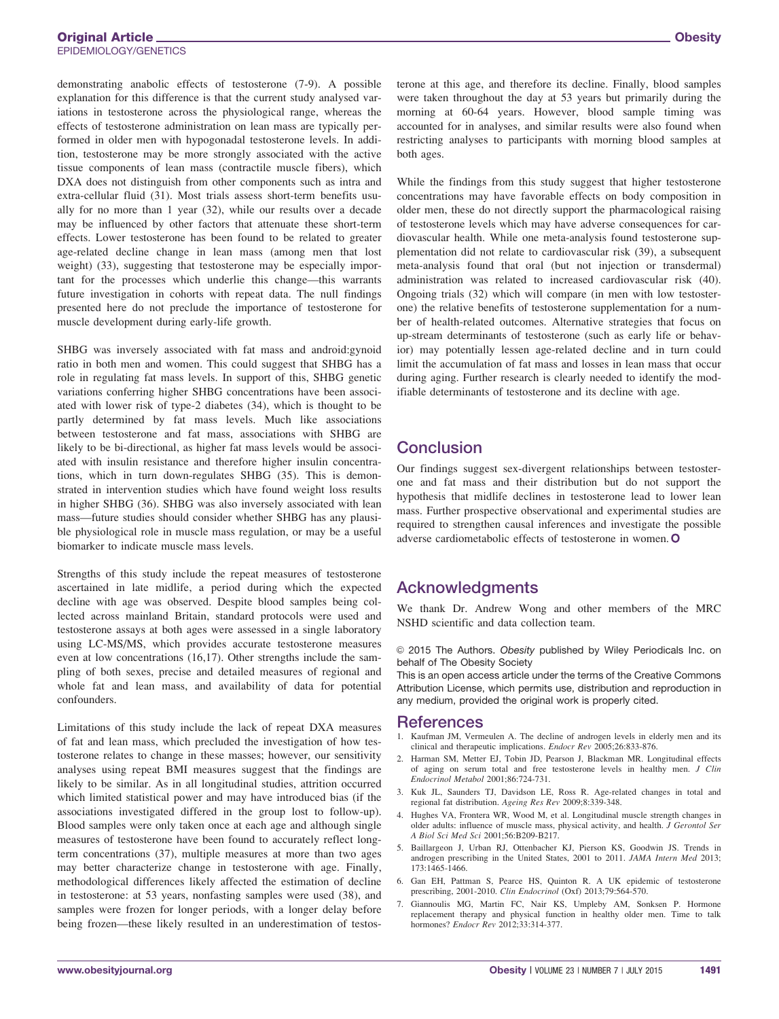demonstrating anabolic effects of testosterone (7-9). A possible explanation for this difference is that the current study analysed variations in testosterone across the physiological range, whereas the effects of testosterone administration on lean mass are typically performed in older men with hypogonadal testosterone levels. In addition, testosterone may be more strongly associated with the active tissue components of lean mass (contractile muscle fibers), which DXA does not distinguish from other components such as intra and extra-cellular fluid (31). Most trials assess short-term benefits usually for no more than 1 year (32), while our results over a decade may be influenced by other factors that attenuate these short-term effects. Lower testosterone has been found to be related to greater age-related decline change in lean mass (among men that lost weight) (33), suggesting that testosterone may be especially important for the processes which underlie this change—this warrants future investigation in cohorts with repeat data. The null findings presented here do not preclude the importance of testosterone for muscle development during early-life growth.

SHBG was inversely associated with fat mass and android:gynoid ratio in both men and women. This could suggest that SHBG has a role in regulating fat mass levels. In support of this, SHBG genetic variations conferring higher SHBG concentrations have been associated with lower risk of type-2 diabetes (34), which is thought to be partly determined by fat mass levels. Much like associations between testosterone and fat mass, associations with SHBG are likely to be bi-directional, as higher fat mass levels would be associated with insulin resistance and therefore higher insulin concentrations, which in turn down-regulates SHBG (35). This is demonstrated in intervention studies which have found weight loss results in higher SHBG (36). SHBG was also inversely associated with lean mass—future studies should consider whether SHBG has any plausible physiological role in muscle mass regulation, or may be a useful biomarker to indicate muscle mass levels.

Strengths of this study include the repeat measures of testosterone ascertained in late midlife, a period during which the expected decline with age was observed. Despite blood samples being collected across mainland Britain, standard protocols were used and testosterone assays at both ages were assessed in a single laboratory using LC-MS/MS, which provides accurate testosterone measures even at low concentrations (16,17). Other strengths include the sampling of both sexes, precise and detailed measures of regional and whole fat and lean mass, and availability of data for potential confounders.

Limitations of this study include the lack of repeat DXA measures of fat and lean mass, which precluded the investigation of how testosterone relates to change in these masses; however, our sensitivity analyses using repeat BMI measures suggest that the findings are likely to be similar. As in all longitudinal studies, attrition occurred which limited statistical power and may have introduced bias (if the associations investigated differed in the group lost to follow-up). Blood samples were only taken once at each age and although single measures of testosterone have been found to accurately reflect longterm concentrations (37), multiple measures at more than two ages may better characterize change in testosterone with age. Finally, methodological differences likely affected the estimation of decline in testosterone: at 53 years, nonfasting samples were used (38), and samples were frozen for longer periods, with a longer delay before being frozen—these likely resulted in an underestimation of testosterone at this age, and therefore its decline. Finally, blood samples were taken throughout the day at 53 years but primarily during the morning at 60-64 years. However, blood sample timing was accounted for in analyses, and similar results were also found when restricting analyses to participants with morning blood samples at both ages.

While the findings from this study suggest that higher testosterone concentrations may have favorable effects on body composition in older men, these do not directly support the pharmacological raising of testosterone levels which may have adverse consequences for cardiovascular health. While one meta-analysis found testosterone supplementation did not relate to cardiovascular risk (39), a subsequent meta-analysis found that oral (but not injection or transdermal) administration was related to increased cardiovascular risk (40). Ongoing trials (32) which will compare (in men with low testosterone) the relative benefits of testosterone supplementation for a number of health-related outcomes. Alternative strategies that focus on up-stream determinants of testosterone (such as early life or behavior) may potentially lessen age-related decline and in turn could limit the accumulation of fat mass and losses in lean mass that occur during aging. Further research is clearly needed to identify the modifiable determinants of testosterone and its decline with age.

# **Conclusion**

Our findings suggest sex-divergent relationships between testosterone and fat mass and their distribution but do not support the hypothesis that midlife declines in testosterone lead to lower lean mass. Further prospective observational and experimental studies are required to strengthen causal inferences and investigate the possible adverse cardiometabolic effects of testosterone in women. O

# Acknowledgments

We thank Dr. Andrew Wong and other members of the MRC NSHD scientific and data collection team.

 $©$  2015 The Authors. Obesity published by Wiley Periodicals Inc. on behalf of The Obesity Society

This is an open access article under the terms of the Creative Commons Attribution License, which permits use, distribution and reproduction in any medium, provided the original work is properly cited.

### References

- 1. Kaufman JM, Vermeulen A. The decline of androgen levels in elderly men and its clinical and therapeutic implications. Endocr Rev 2005;26:833-876.
- 2. Harman SM, Metter EJ, Tobin JD, Pearson J, Blackman MR. Longitudinal effects of aging on serum total and free testosterone levels in healthy men. J Clin Endocrinol Metabol 2001;86:724-731.
- 3. Kuk JL, Saunders TJ, Davidson LE, Ross R. Age-related changes in total and regional fat distribution. Ageing Res Rev 2009;8:339-348.
- 4. Hughes VA, Frontera WR, Wood M, et al. Longitudinal muscle strength changes in older adults: influence of muscle mass, physical activity, and health. J Gerontol Ser A Biol Sci Med Sci 2001;56:B209-B217.
- 5. Baillargeon J, Urban RJ, Ottenbacher KJ, Pierson KS, Goodwin JS. Trends in androgen prescribing in the United States, 2001 to 2011. JAMA Intern Med 2013; 173:1465-1466.
- 6. Gan EH, Pattman S, Pearce HS, Quinton R. A UK epidemic of testosterone prescribing, 2001-2010. Clin Endocrinol (Oxf) 2013;79:564-570.
- 7. Giannoulis MG, Martin FC, Nair KS, Umpleby AM, Sonksen P. Hormone replacement therapy and physical function in healthy older men. Time to talk hormones? *Endocr Rev* 2012;33:314-377.